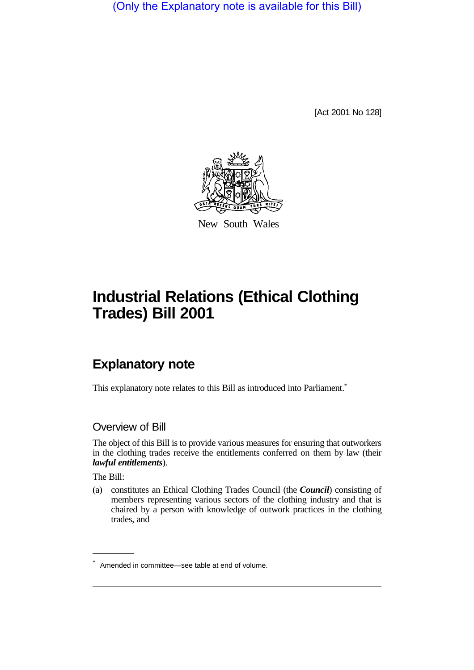(Only the Explanatory note is available for this Bill)

[Act 2001 No 128]



New South Wales

# **Industrial Relations (Ethical Clothing Trades) Bill 2001**

# **Explanatory note**

This explanatory note relates to this Bill as introduced into Parliament.<sup>\*</sup>

#### Overview of Bill

The object of this Bill is to provide various measures for ensuring that outworkers in the clothing trades receive the entitlements conferred on them by law (their *lawful entitlements*).

The Bill:

(a) constitutes an Ethical Clothing Trades Council (the *Council*) consisting of members representing various sectors of the clothing industry and that is chaired by a person with knowledge of outwork practices in the clothing trades, and

<sup>\*</sup> Amended in committee—see table at end of volume.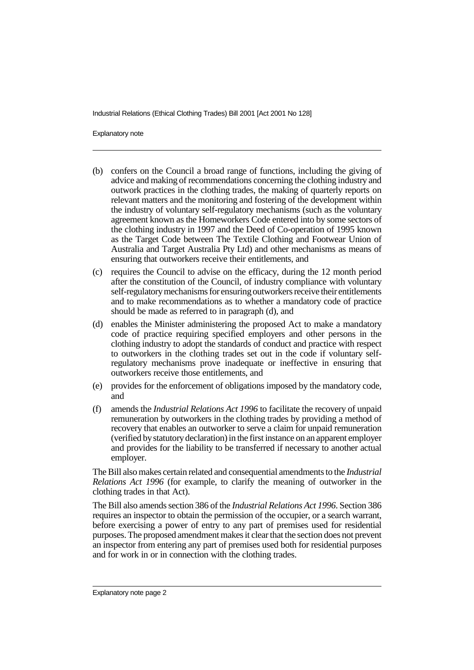Explanatory note

- (b) confers on the Council a broad range of functions, including the giving of advice and making of recommendations concerning the clothing industry and outwork practices in the clothing trades, the making of quarterly reports on relevant matters and the monitoring and fostering of the development within the industry of voluntary self-regulatory mechanisms (such as the voluntary agreement known as the Homeworkers Code entered into by some sectors of the clothing industry in 1997 and the Deed of Co-operation of 1995 known as the Target Code between The Textile Clothing and Footwear Union of Australia and Target Australia Pty Ltd) and other mechanisms as means of ensuring that outworkers receive their entitlements, and
- (c) requires the Council to advise on the efficacy, during the 12 month period after the constitution of the Council, of industry compliance with voluntary self-regulatory mechanisms for ensuring outworkers receive their entitlements and to make recommendations as to whether a mandatory code of practice should be made as referred to in paragraph (d), and
- (d) enables the Minister administering the proposed Act to make a mandatory code of practice requiring specified employers and other persons in the clothing industry to adopt the standards of conduct and practice with respect to outworkers in the clothing trades set out in the code if voluntary selfregulatory mechanisms prove inadequate or ineffective in ensuring that outworkers receive those entitlements, and
- (e) provides for the enforcement of obligations imposed by the mandatory code, and
- (f) amends the *Industrial Relations Act 1996* to facilitate the recovery of unpaid remuneration by outworkers in the clothing trades by providing a method of recovery that enables an outworker to serve a claim for unpaid remuneration (verified by statutory declaration) in the first instance on an apparent employer and provides for the liability to be transferred if necessary to another actual employer.

The Bill also makes certain related and consequential amendments to the *Industrial Relations Act 1996* (for example, to clarify the meaning of outworker in the clothing trades in that Act).

The Bill also amends section 386 of the *Industrial Relations Act 1996*. Section 386 requires an inspector to obtain the permission of the occupier, or a search warrant, before exercising a power of entry to any part of premises used for residential purposes. The proposed amendment makes it clear that the section does not prevent an inspector from entering any part of premises used both for residential purposes and for work in or in connection with the clothing trades.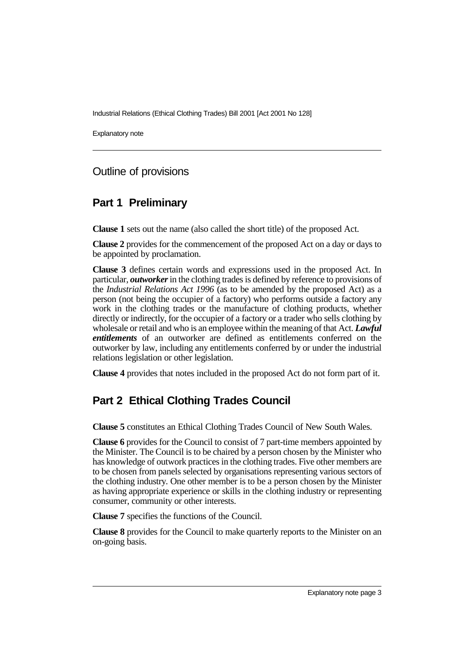Explanatory note

#### Outline of provisions

#### **Part 1 Preliminary**

**Clause 1** sets out the name (also called the short title) of the proposed Act.

**Clause 2** provides for the commencement of the proposed Act on a day or days to be appointed by proclamation.

**Clause 3** defines certain words and expressions used in the proposed Act. In particular, *outworker* in the clothing trades is defined by reference to provisions of the *Industrial Relations Act 1996* (as to be amended by the proposed Act) as a person (not being the occupier of a factory) who performs outside a factory any work in the clothing trades or the manufacture of clothing products, whether directly or indirectly, for the occupier of a factory or a trader who sells clothing by wholesale or retail and who is an employee within the meaning of that Act. *Lawful entitlements* of an outworker are defined as entitlements conferred on the outworker by law, including any entitlements conferred by or under the industrial relations legislation or other legislation.

**Clause 4** provides that notes included in the proposed Act do not form part of it.

# **Part 2 Ethical Clothing Trades Council**

**Clause 5** constitutes an Ethical Clothing Trades Council of New South Wales.

**Clause 6** provides for the Council to consist of 7 part-time members appointed by the Minister. The Council is to be chaired by a person chosen by the Minister who has knowledge of outwork practices in the clothing trades. Five other members are to be chosen from panels selected by organisations representing various sectors of the clothing industry. One other member is to be a person chosen by the Minister as having appropriate experience or skills in the clothing industry or representing consumer, community or other interests.

**Clause 7** specifies the functions of the Council.

**Clause 8** provides for the Council to make quarterly reports to the Minister on an on-going basis.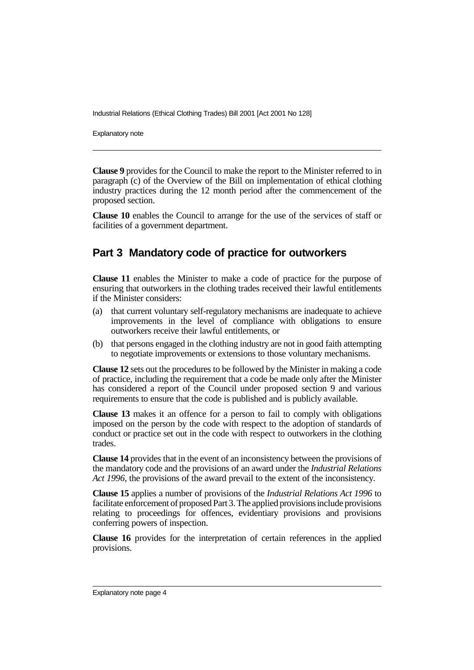Explanatory note

**Clause 9** provides for the Council to make the report to the Minister referred to in paragraph (c) of the Overview of the Bill on implementation of ethical clothing industry practices during the 12 month period after the commencement of the proposed section.

**Clause 10** enables the Council to arrange for the use of the services of staff or facilities of a government department.

#### **Part 3 Mandatory code of practice for outworkers**

**Clause 11** enables the Minister to make a code of practice for the purpose of ensuring that outworkers in the clothing trades received their lawful entitlements if the Minister considers:

- (a) that current voluntary self-regulatory mechanisms are inadequate to achieve improvements in the level of compliance with obligations to ensure outworkers receive their lawful entitlements, or
- (b) that persons engaged in the clothing industry are not in good faith attempting to negotiate improvements or extensions to those voluntary mechanisms.

**Clause 12** sets out the procedures to be followed by the Minister in making a code of practice, including the requirement that a code be made only after the Minister has considered a report of the Council under proposed section 9 and various requirements to ensure that the code is published and is publicly available.

**Clause 13** makes it an offence for a person to fail to comply with obligations imposed on the person by the code with respect to the adoption of standards of conduct or practice set out in the code with respect to outworkers in the clothing trades.

**Clause 14** provides that in the event of an inconsistency between the provisions of the mandatory code and the provisions of an award under the *Industrial Relations Act 1996*, the provisions of the award prevail to the extent of the inconsistency.

**Clause 15** applies a number of provisions of the *Industrial Relations Act 1996* to facilitate enforcement of proposed Part 3. The applied provisions include provisions relating to proceedings for offences, evidentiary provisions and provisions conferring powers of inspection.

**Clause 16** provides for the interpretation of certain references in the applied provisions.

Explanatory note page 4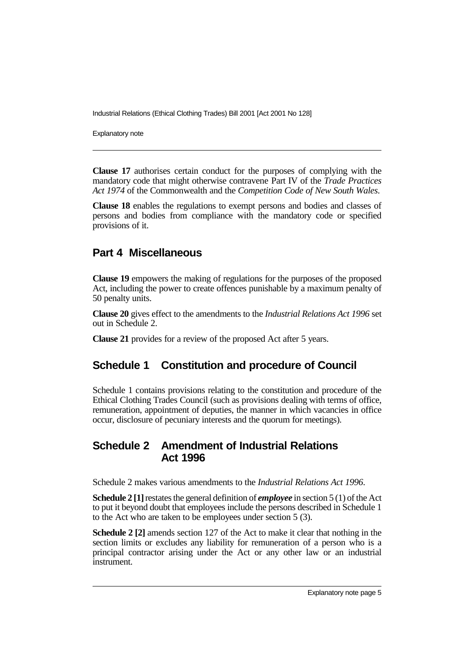Explanatory note

**Clause 17** authorises certain conduct for the purposes of complying with the mandatory code that might otherwise contravene Part IV of the *Trade Practices Act 1974* of the Commonwealth and the *Competition Code of New South Wales*.

**Clause 18** enables the regulations to exempt persons and bodies and classes of persons and bodies from compliance with the mandatory code or specified provisions of it.

## **Part 4 Miscellaneous**

**Clause 19** empowers the making of regulations for the purposes of the proposed Act, including the power to create offences punishable by a maximum penalty of 50 penalty units.

**Clause 20** gives effect to the amendments to the *Industrial Relations Act 1996* set out in Schedule 2.

**Clause 21** provides for a review of the proposed Act after 5 years.

# **Schedule 1 Constitution and procedure of Council**

Schedule 1 contains provisions relating to the constitution and procedure of the Ethical Clothing Trades Council (such as provisions dealing with terms of office, remuneration, appointment of deputies, the manner in which vacancies in office occur, disclosure of pecuniary interests and the quorum for meetings).

## **Schedule 2 Amendment of Industrial Relations Act 1996**

Schedule 2 makes various amendments to the *Industrial Relations Act 1996*.

**Schedule 2 [1]** restates the general definition of *employee* in section 5 (1) of the Act to put it beyond doubt that employees include the persons described in Schedule 1 to the Act who are taken to be employees under section 5 (3).

**Schedule 2 [2]** amends section 127 of the Act to make it clear that nothing in the section limits or excludes any liability for remuneration of a person who is a principal contractor arising under the Act or any other law or an industrial instrument.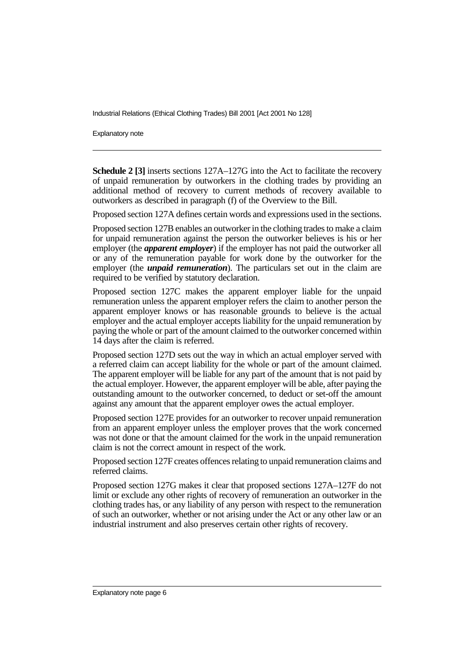Explanatory note

**Schedule 2 [3]** inserts sections 127A–127G into the Act to facilitate the recovery of unpaid remuneration by outworkers in the clothing trades by providing an additional method of recovery to current methods of recovery available to outworkers as described in paragraph (f) of the Overview to the Bill.

Proposed section 127A defines certain words and expressions used in the sections.

Proposed section 127B enables an outworker in the clothing trades to make a claim for unpaid remuneration against the person the outworker believes is his or her employer (the *apparent employer*) if the employer has not paid the outworker all or any of the remuneration payable for work done by the outworker for the employer (the *unpaid remuneration*). The particulars set out in the claim are required to be verified by statutory declaration.

Proposed section 127C makes the apparent employer liable for the unpaid remuneration unless the apparent employer refers the claim to another person the apparent employer knows or has reasonable grounds to believe is the actual employer and the actual employer accepts liability for the unpaid remuneration by paying the whole or part of the amount claimed to the outworker concerned within 14 days after the claim is referred.

Proposed section 127D sets out the way in which an actual employer served with a referred claim can accept liability for the whole or part of the amount claimed. The apparent employer will be liable for any part of the amount that is not paid by the actual employer. However, the apparent employer will be able, after paying the outstanding amount to the outworker concerned, to deduct or set-off the amount against any amount that the apparent employer owes the actual employer.

Proposed section 127E provides for an outworker to recover unpaid remuneration from an apparent employer unless the employer proves that the work concerned was not done or that the amount claimed for the work in the unpaid remuneration claim is not the correct amount in respect of the work.

Proposed section 127F creates offences relating to unpaid remuneration claims and referred claims.

Proposed section 127G makes it clear that proposed sections 127A–127F do not limit or exclude any other rights of recovery of remuneration an outworker in the clothing trades has, or any liability of any person with respect to the remuneration of such an outworker, whether or not arising under the Act or any other law or an industrial instrument and also preserves certain other rights of recovery.